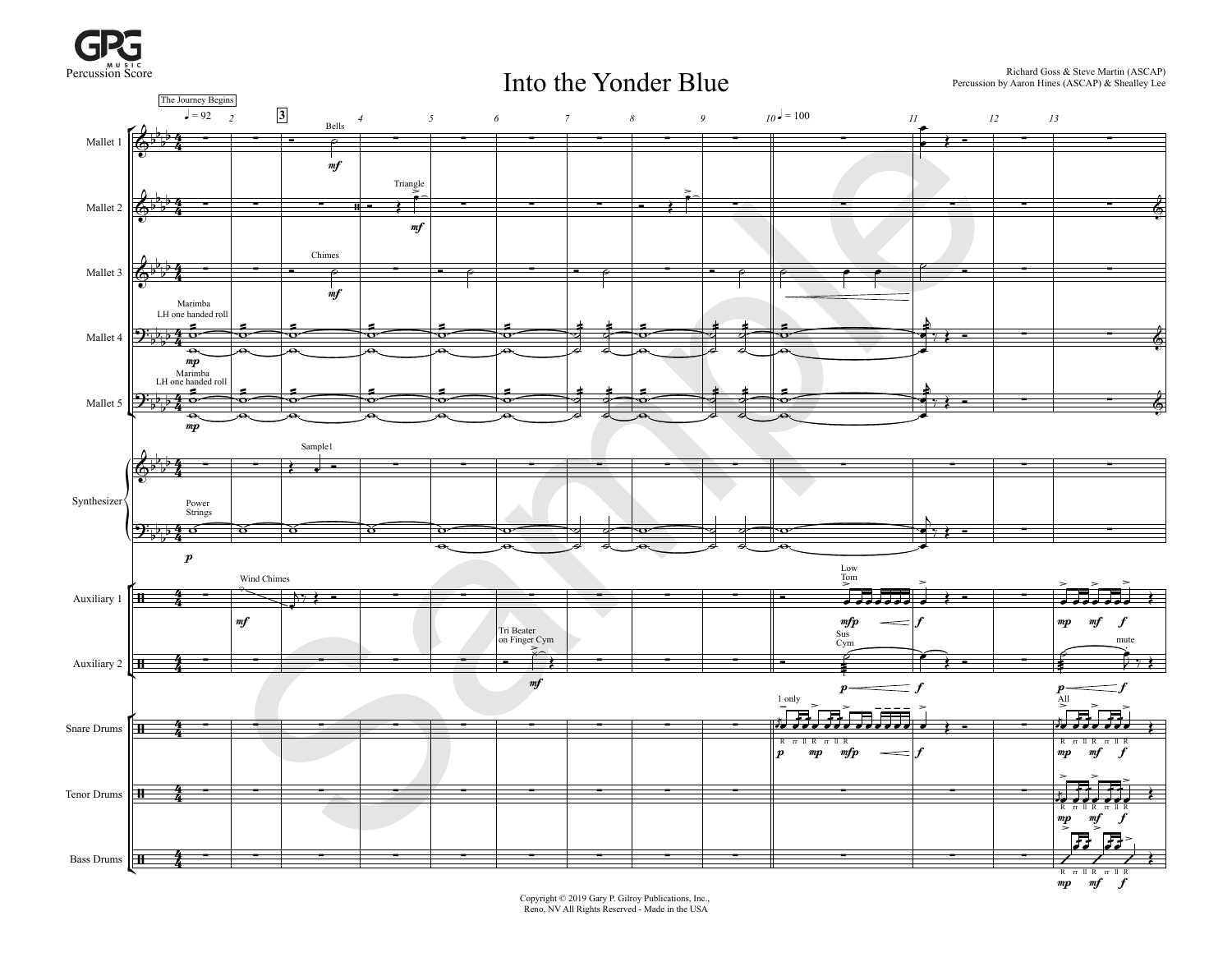



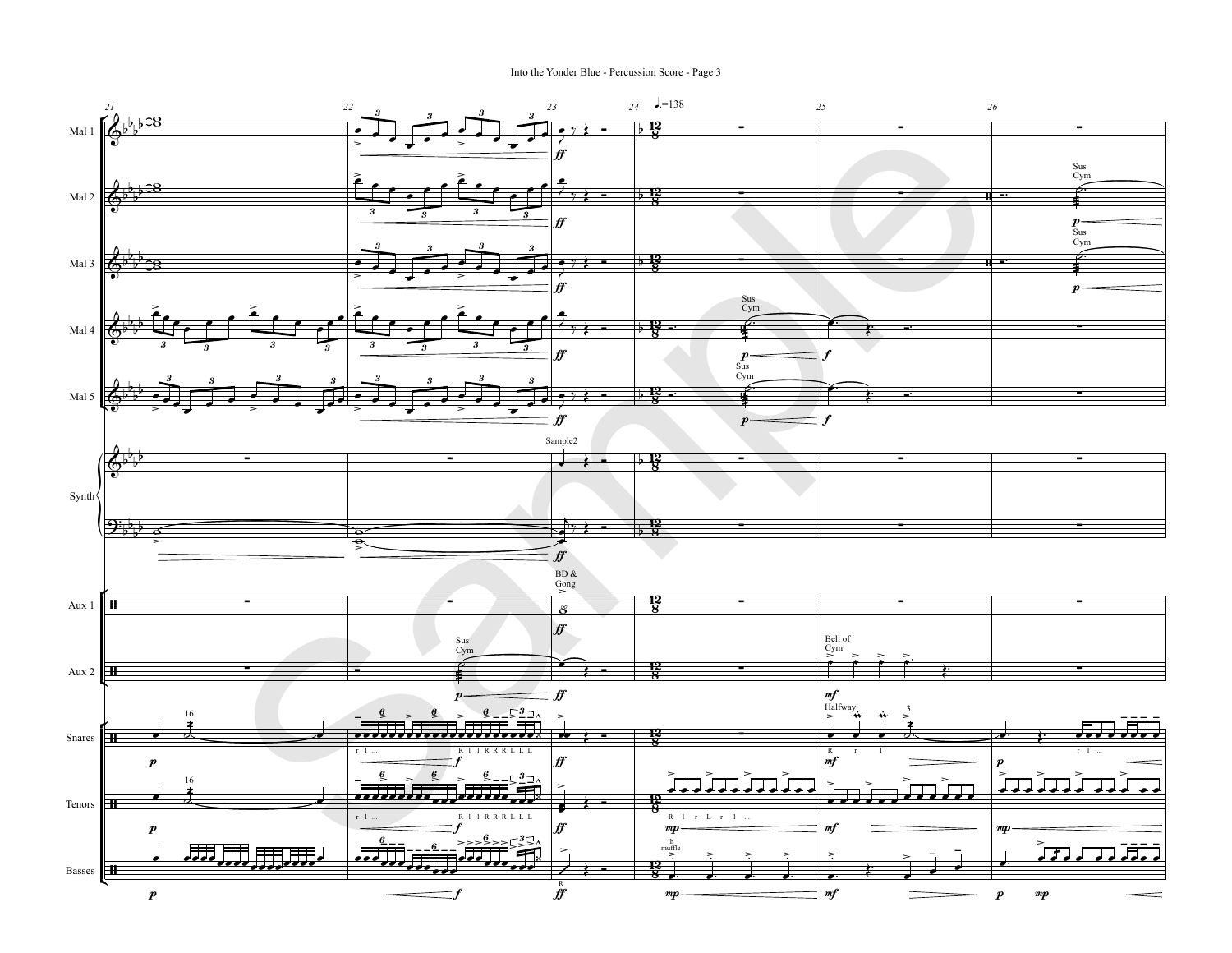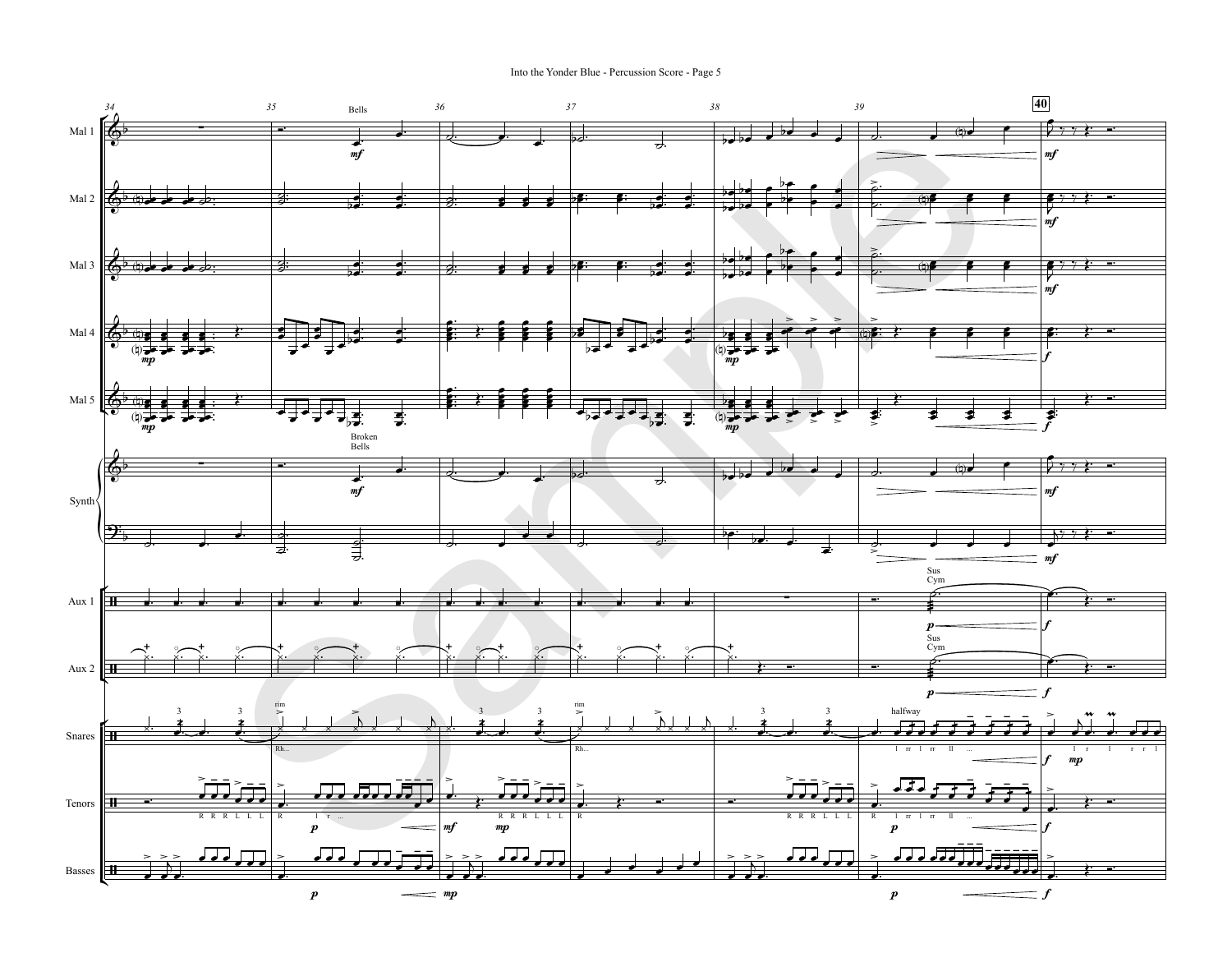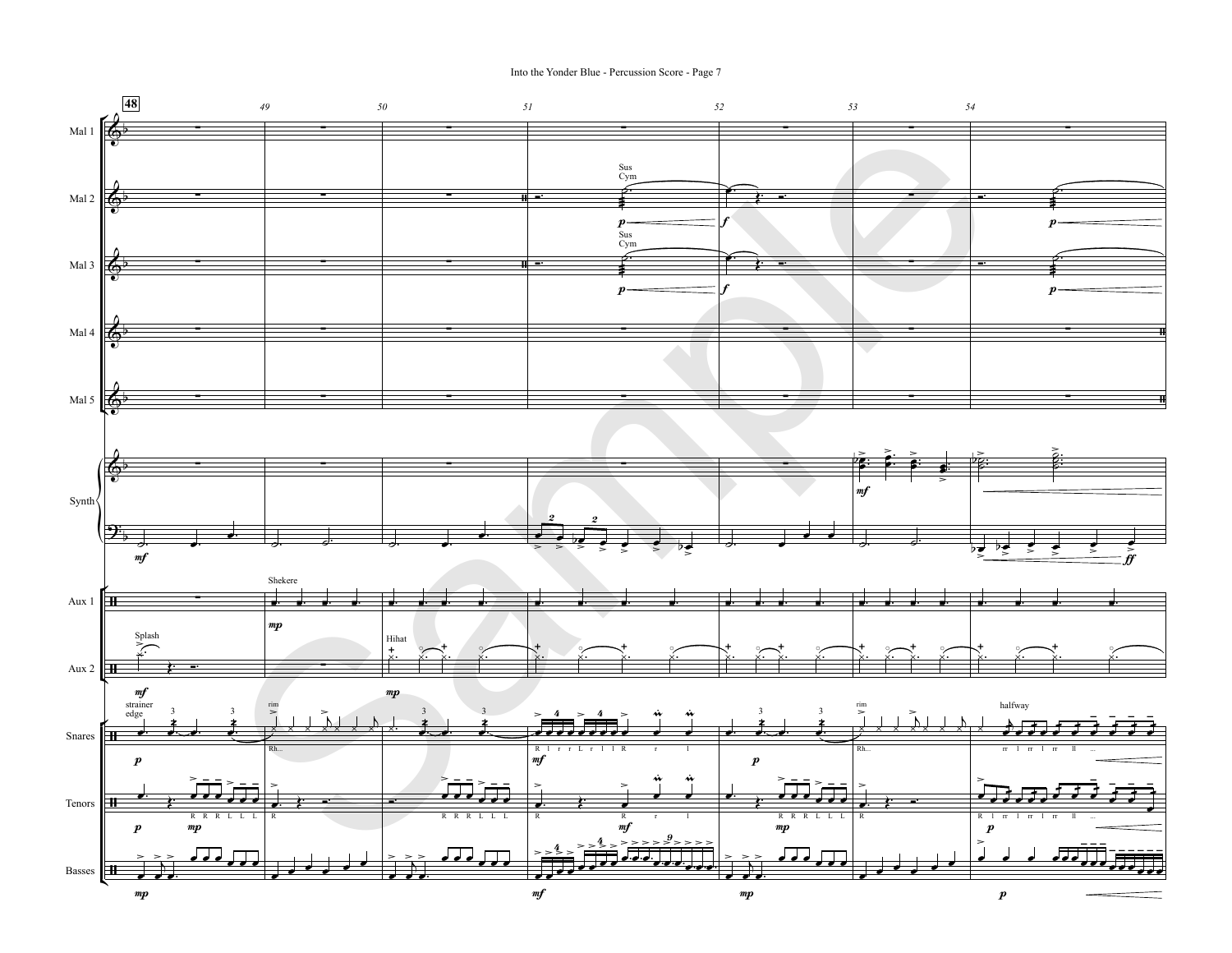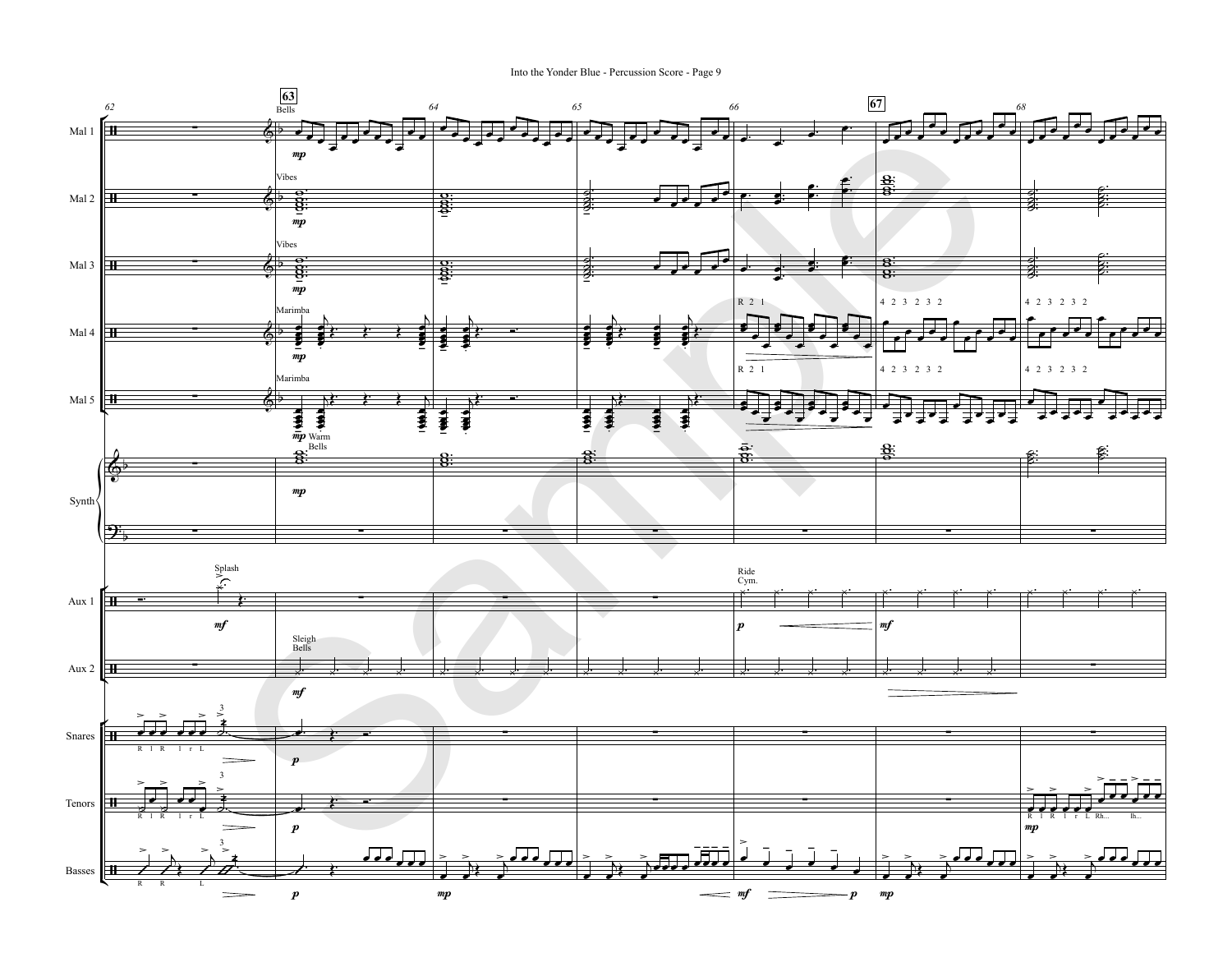Into the Yonder Blue - Percussion Score - Page 9

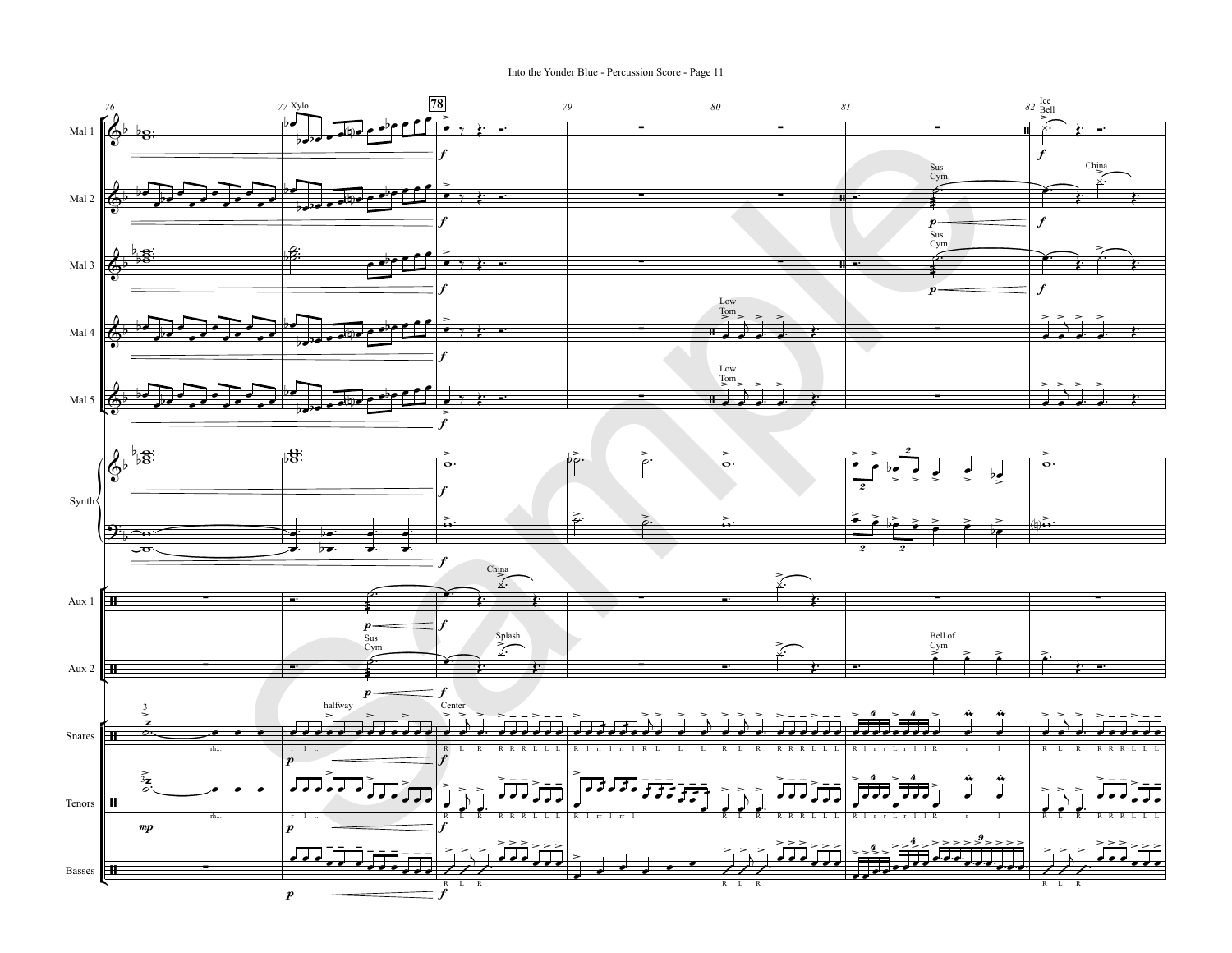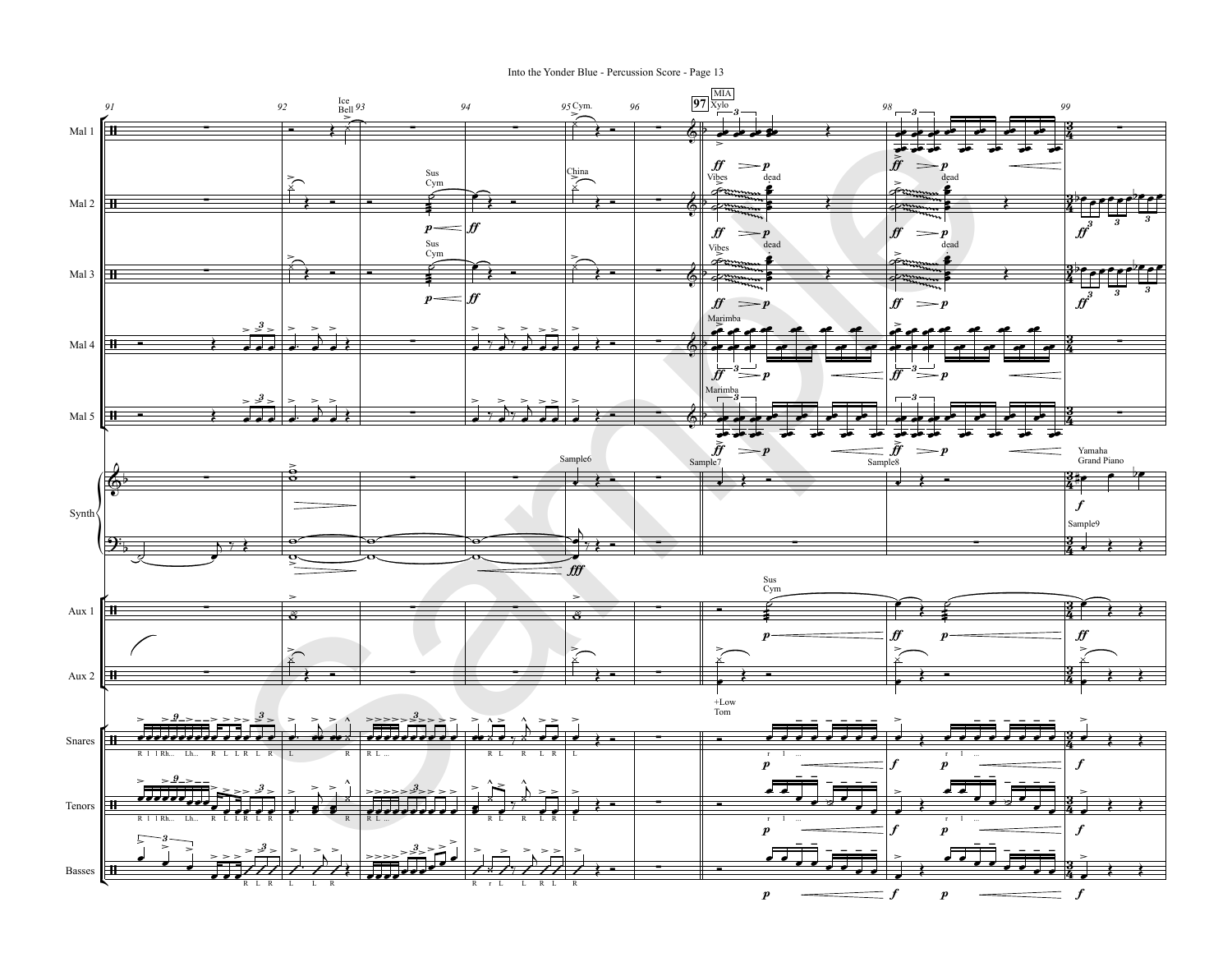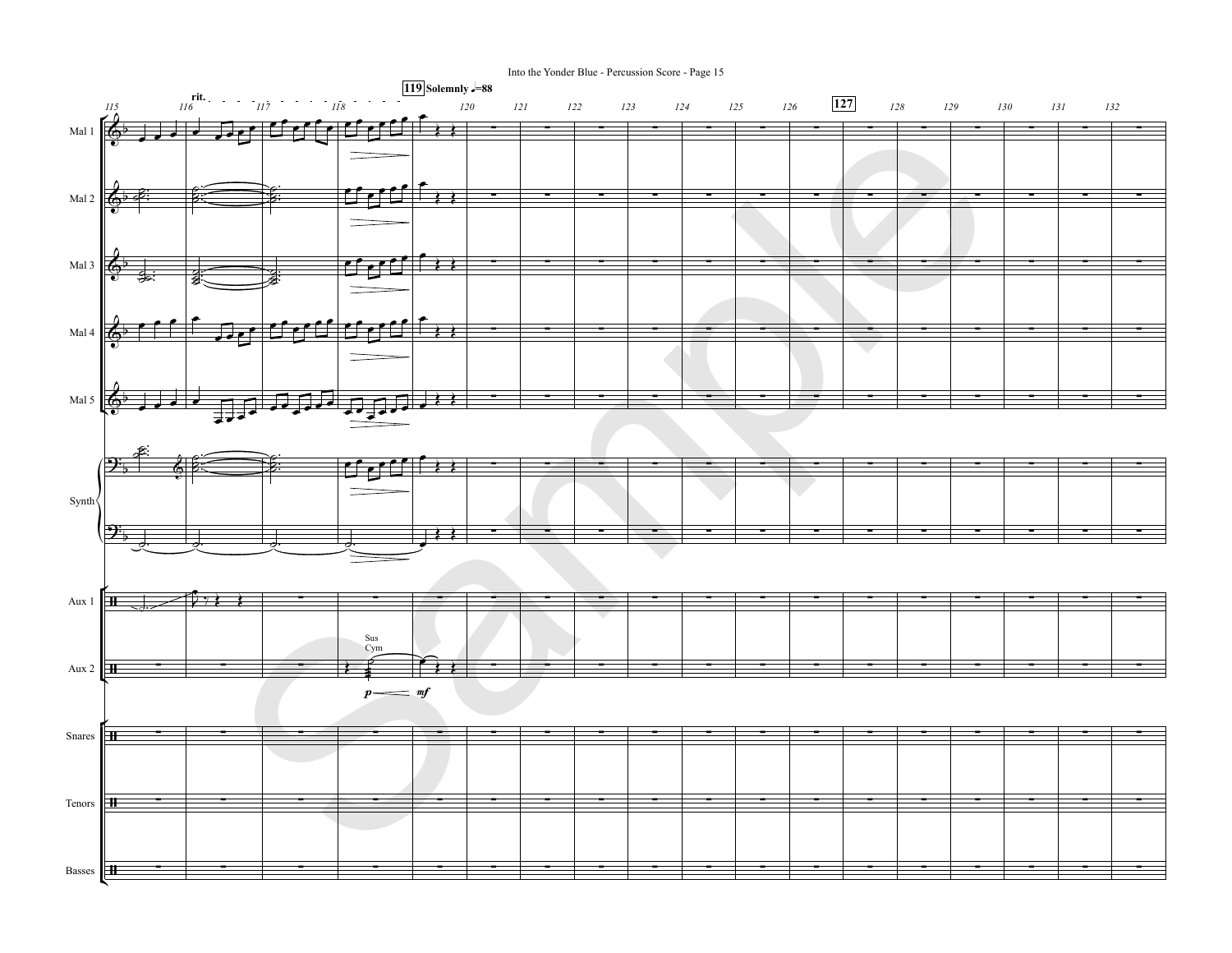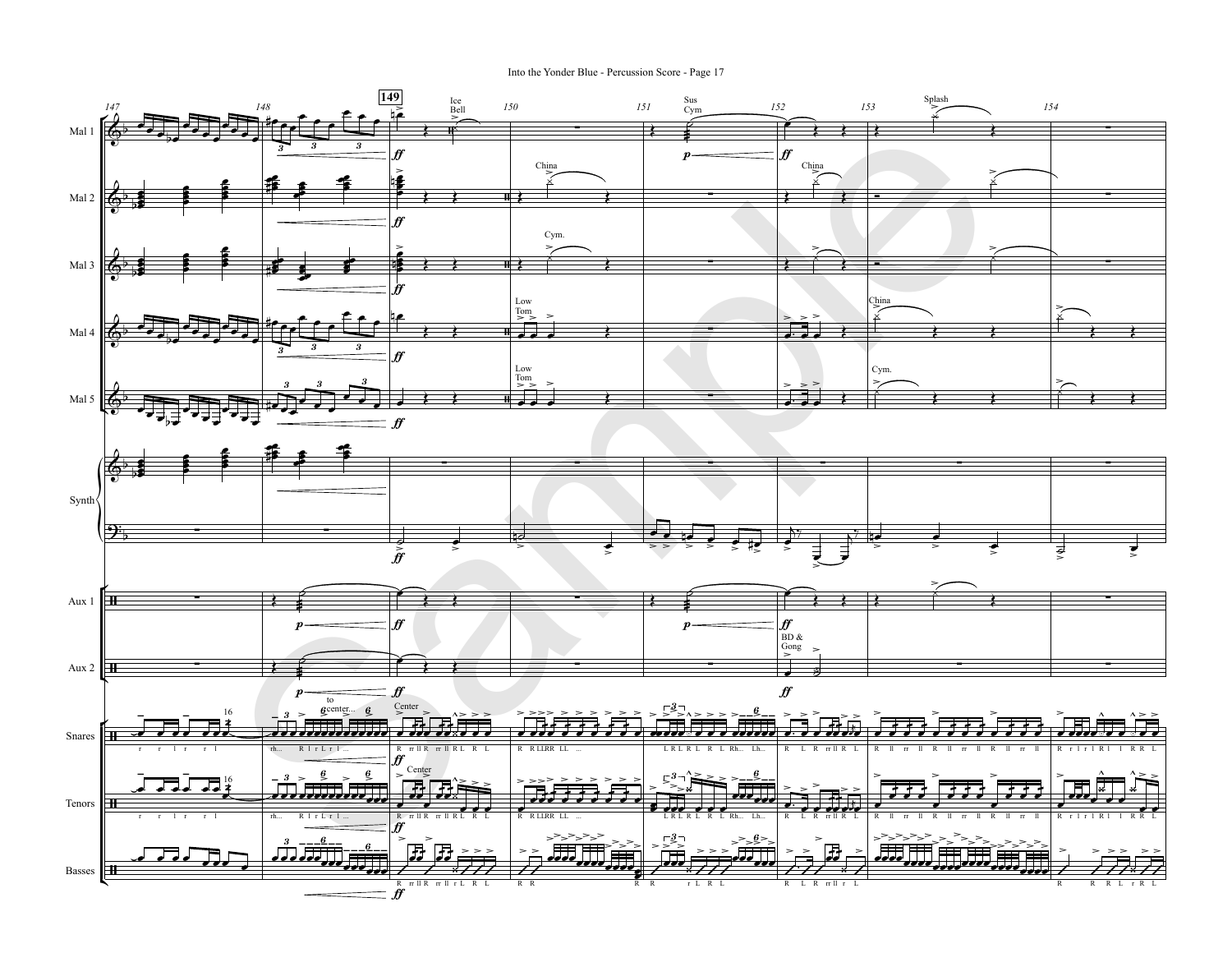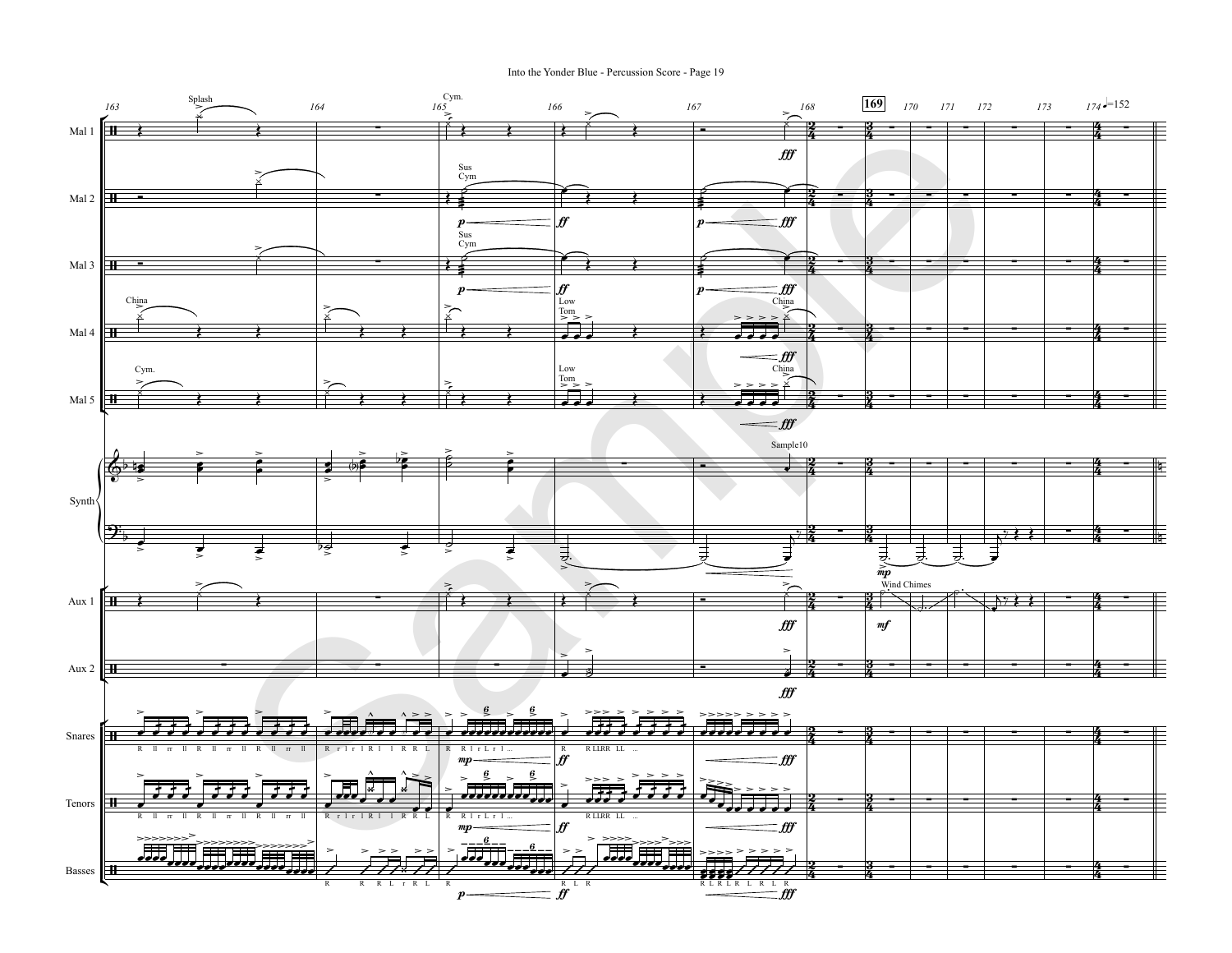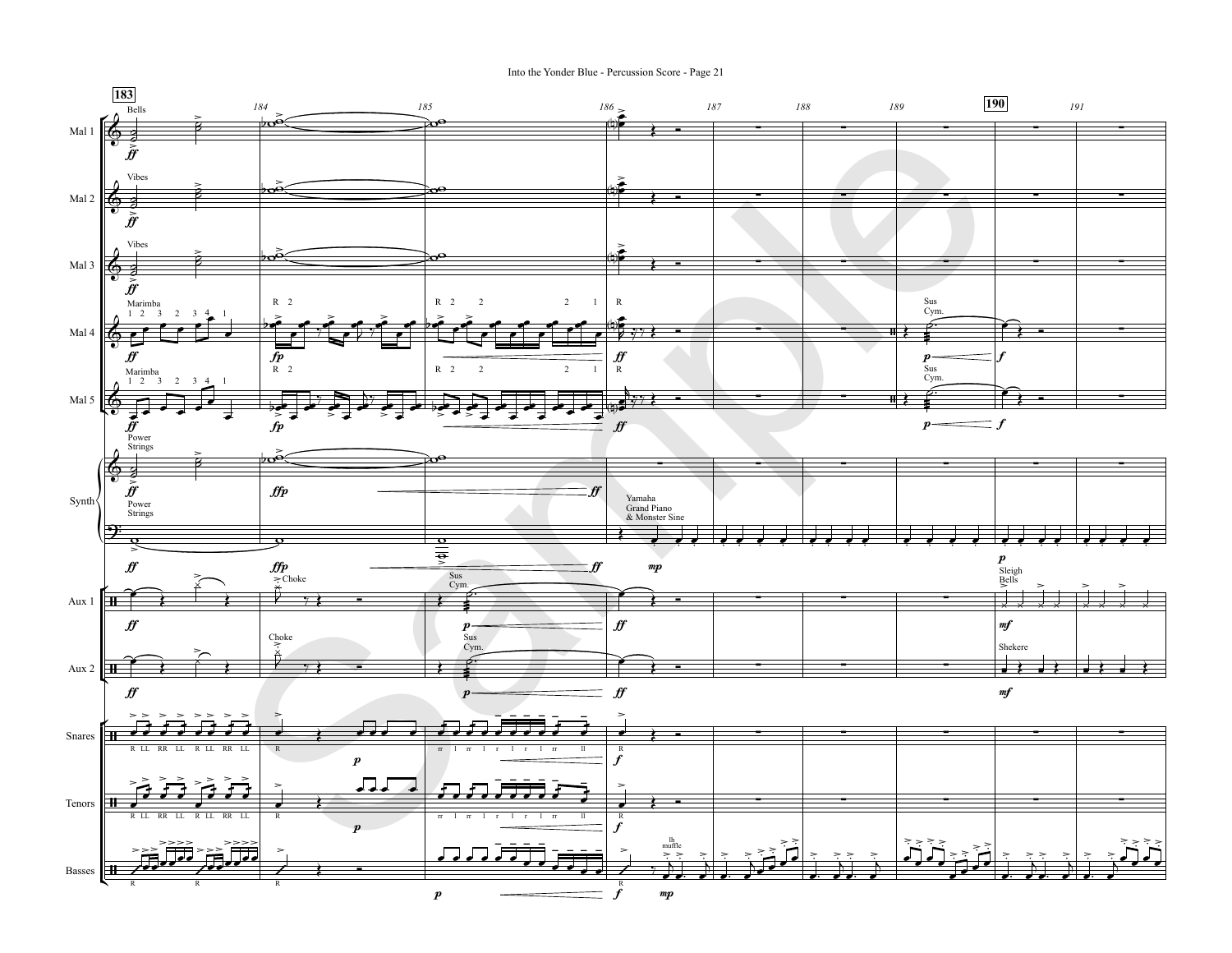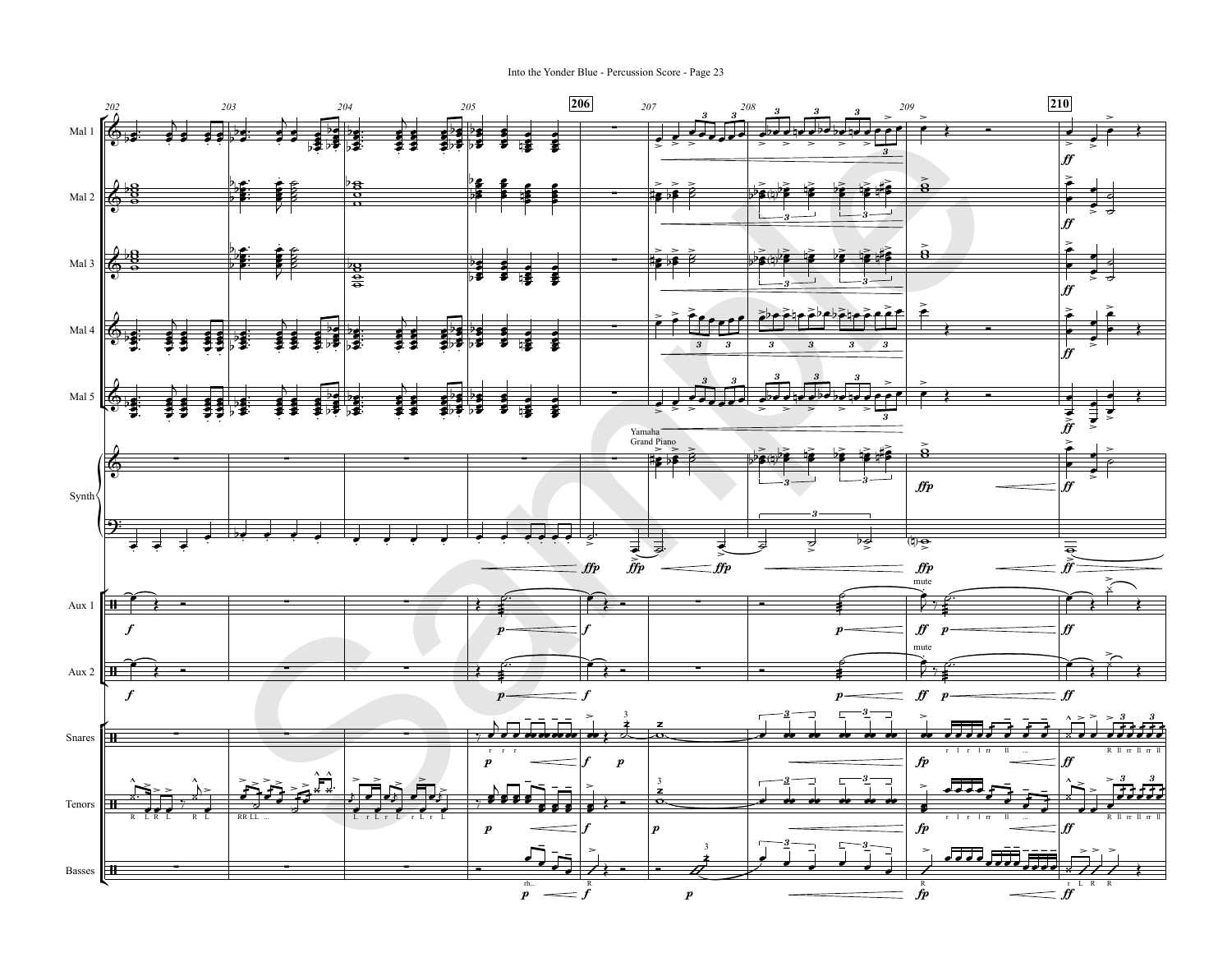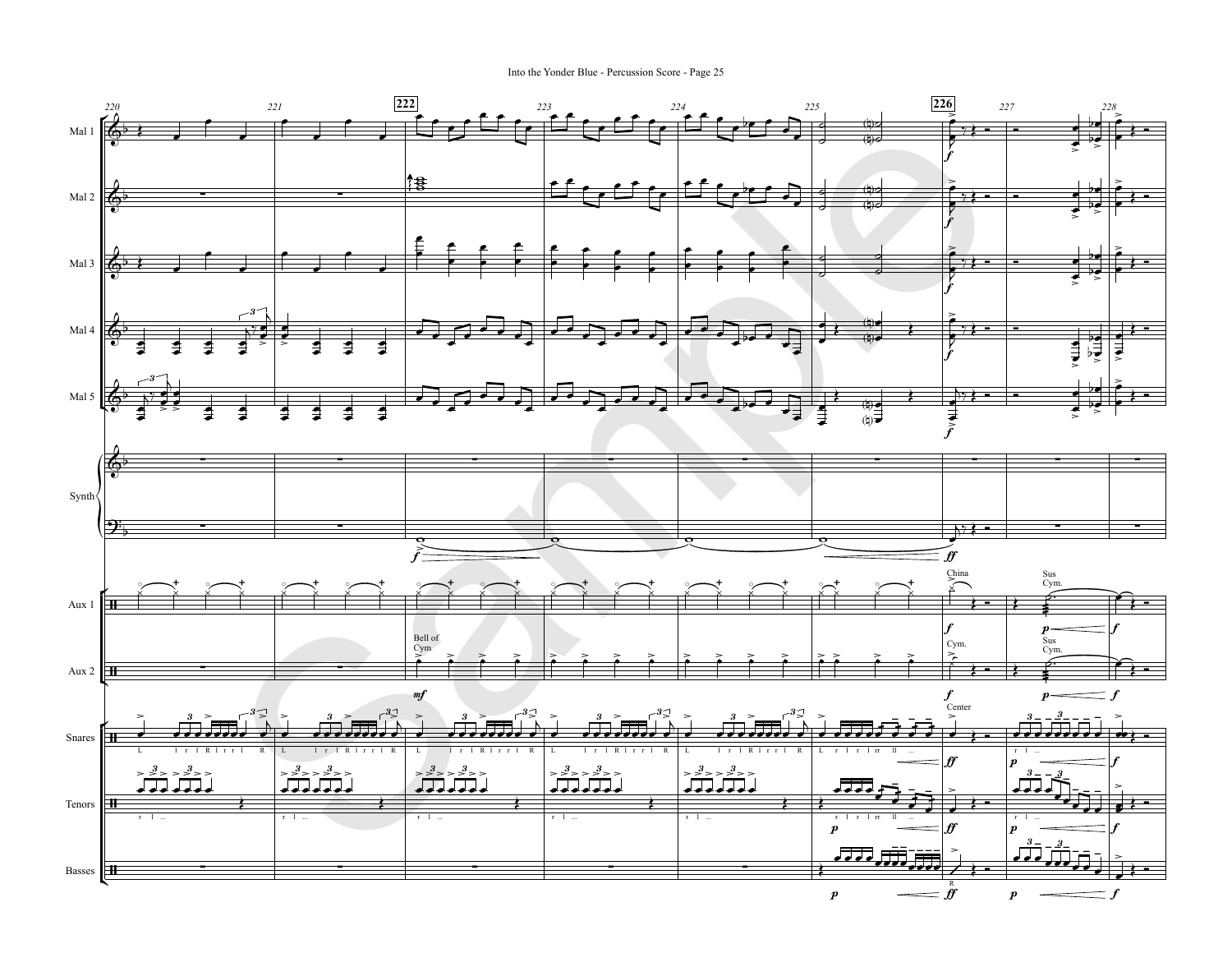Into the Yonder Blue - Percussion Score - Page 25